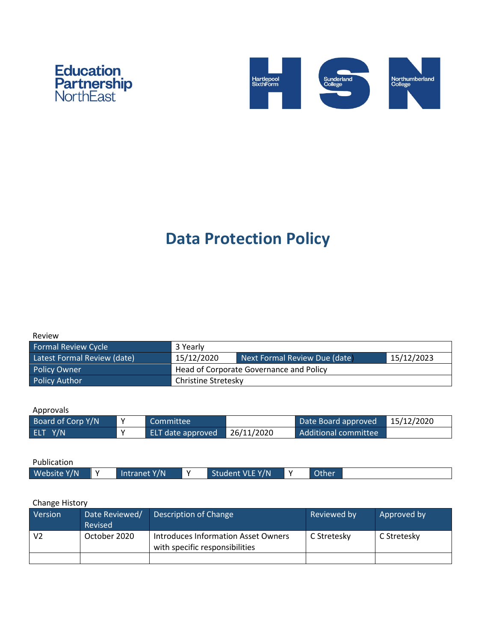



# **Data Protection Policy**

| <b>Formal Review Cycle</b>  | 3 Yearly                                |                               |            |  |
|-----------------------------|-----------------------------------------|-------------------------------|------------|--|
| Latest Formal Review (date) | 15/12/2020                              | Next Formal Review Due (date) | 15/12/2023 |  |
| Policy Owner                | Head of Corporate Governance and Policy |                               |            |  |
| <b>Policy Author</b>        | Christine Stretesky                     |                               |            |  |

Approvals

| Board of Corp Y/N |              | Committee         |            | Date Board approved  | 15/12/2020 |
|-------------------|--------------|-------------------|------------|----------------------|------------|
| ELT Y/N           | $\mathbf{v}$ | ELT date approved | 26/11/2020 | Additional committee |            |

| Publication |              |                 |                    |  |
|-------------|--------------|-----------------|--------------------|--|
| Website Y/N | Intranet Y/N | Student VLE Y/N | Other <sup>1</sup> |  |

#### Change History

| Version        | Date Reviewed/<br>Revised | Description of Change                                                 | Reviewed by | Approved by |
|----------------|---------------------------|-----------------------------------------------------------------------|-------------|-------------|
| V <sub>2</sub> | October 2020              | Introduces Information Asset Owners<br>with specific responsibilities | C Stretesky | C Stretesky |
|                |                           |                                                                       |             |             |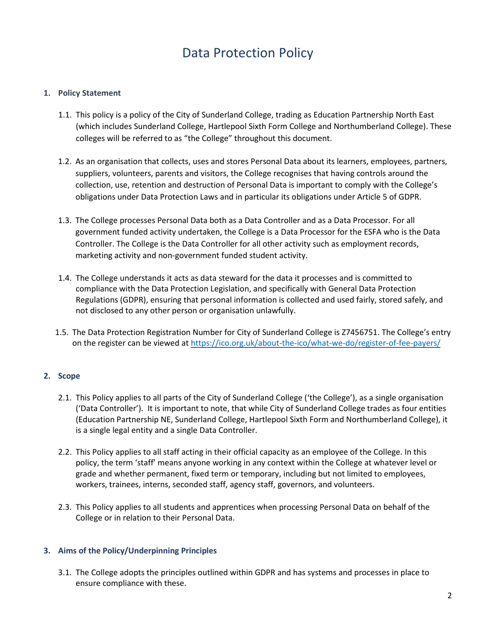# Data Protection Policy

#### **1. Policy Statement**

- 1.1. This policy is a policy of the City of Sunderland College, trading as Education Partnership North East (which includes Sunderland College, Hartlepool Sixth Form College and Northumberland College). These colleges will be referred to as "the College" throughout this document.
- 1.2. As an organisation that collects, uses and stores Personal Data about its learners, employees, partners, suppliers, volunteers, parents and visitors, the College recognises that having controls around the collection, use, retention and destruction of Personal Data is important to comply with the College's obligations under Data Protection Laws and in particular its obligations under Article 5 of GDPR.
- 1.3. The College processes Personal Data both as a Data Controller and as a Data Processor. For all government funded activity undertaken, the College is a Data Processor for the ESFA who is the Data Controller. The College is the Data Controller for all other activity such as employment records, marketing activity and non-government funded student activity.
- 1.4. The College understands it acts as data steward for the data it processes and is committed to compliance with the Data Protection Legislation, and specifically with General Data Protection Regulations (GDPR), ensuring that personal information is collected and used fairly, stored safely, and not disclosed to any other person or organisation unlawfully.
- 1.5. The Data Protection Registration Number for City of Sunderland College is Z7456751. The College's entry on the register can be viewed a[t https://ico.org.uk/about-the-ico/what-we-do/register-of-fee-payers/](https://ico.org.uk/about-the-ico/what-we-do/register-of-fee-payers/)

## **2. Scope**

- 2.1. This Policy applies to all parts of the City of Sunderland College ('the College'), as a single organisation ('Data Controller'). It is important to note, that while City of Sunderland College trades as four entities (Education Partnership NE, Sunderland College, Hartlepool Sixth Form and Northumberland College), it is a single legal entity and a single Data Controller.
- 2.2. This Policy applies to all staff acting in their official capacity as an employee of the College. In this policy, the term 'staff' means anyone working in any context within the College at whatever level or grade and whether permanent, fixed term or temporary, including but not limited to employees, workers, trainees, interns, seconded staff, agency staff, governors, and volunteers.
- 2.3. This Policy applies to all students and apprentices when processing Personal Data on behalf of the College or in relation to their Personal Data.

## **3. Aims of the Policy/Underpinning Principles**

3.1. The College adopts the principles outlined within GDPR and has systems and processes in place to ensure compliance with these.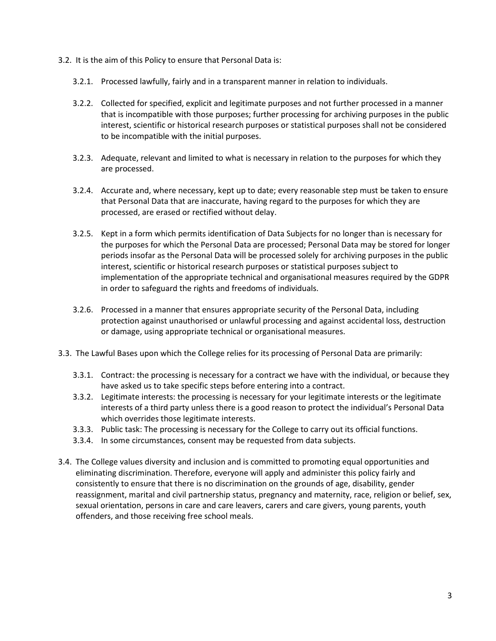- 3.2. It is the aim of this Policy to ensure that Personal Data is:
	- 3.2.1. Processed lawfully, fairly and in a transparent manner in relation to individuals.
	- 3.2.2. Collected for specified, explicit and legitimate purposes and not further processed in a manner that is incompatible with those purposes; further processing for archiving purposes in the public interest, scientific or historical research purposes or statistical purposes shall not be considered to be incompatible with the initial purposes.
	- 3.2.3. Adequate, relevant and limited to what is necessary in relation to the purposes for which they are processed.
	- 3.2.4. Accurate and, where necessary, kept up to date; every reasonable step must be taken to ensure that Personal Data that are inaccurate, having regard to the purposes for which they are processed, are erased or rectified without delay.
	- 3.2.5. Kept in a form which permits identification of Data Subjects for no longer than is necessary for the purposes for which the Personal Data are processed; Personal Data may be stored for longer periods insofar as the Personal Data will be processed solely for archiving purposes in the public interest, scientific or historical research purposes or statistical purposes subject to implementation of the appropriate technical and organisational measures required by the GDPR in order to safeguard the rights and freedoms of individuals.
	- 3.2.6. Processed in a manner that ensures appropriate security of the Personal Data, including protection against unauthorised or unlawful processing and against accidental loss, destruction or damage, using appropriate technical or organisational measures.
- 3.3. The Lawful Bases upon which the College relies for its processing of Personal Data are primarily:
	- 3.3.1. Contract: the processing is necessary for a contract we have with the individual, or because they have asked us to take specific steps before entering into a contract.
	- 3.3.2. Legitimate interests: the processing is necessary for your legitimate interests or the legitimate interests of a third party unless there is a good reason to protect the individual's Personal Data which overrides those legitimate interests.
	- 3.3.3. Public task: The processing is necessary for the College to carry out its official functions.
	- 3.3.4. In some circumstances, consent may be requested from data subjects.
- 3.4. The College values diversity and inclusion and is committed to promoting equal opportunities and eliminating discrimination. Therefore, everyone will apply and administer this policy fairly and consistently to ensure that there is no discrimination on the grounds of age, disability, gender reassignment, marital and civil partnership status, pregnancy and maternity, race, religion or belief, sex, sexual orientation, persons in care and care leavers, carers and care givers, young parents, youth offenders, and those receiving free school meals.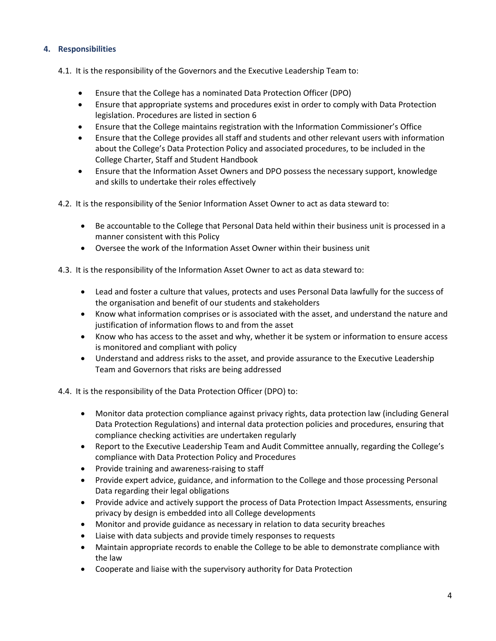# **4. Responsibilities**

4.1. It is the responsibility of the Governors and the Executive Leadership Team to:

- Ensure that the College has a nominated Data Protection Officer (DPO)
- Ensure that appropriate systems and procedures exist in order to comply with Data Protection legislation. Procedures are listed in section 6
- Ensure that the College maintains registration with the Information Commissioner's Office
- Ensure that the College provides all staff and students and other relevant users with information about the College's Data Protection Policy and associated procedures, to be included in the College Charter, Staff and Student Handbook
- Ensure that the Information Asset Owners and DPO possess the necessary support, knowledge and skills to undertake their roles effectively

4.2. It is the responsibility of the Senior Information Asset Owner to act as data steward to:

- Be accountable to the College that Personal Data held within their business unit is processed in a manner consistent with this Policy
- Oversee the work of the Information Asset Owner within their business unit

4.3. It is the responsibility of the Information Asset Owner to act as data steward to:

- Lead and foster a culture that values, protects and uses Personal Data lawfully for the success of the organisation and benefit of our students and stakeholders
- Know what information comprises or is associated with the asset, and understand the nature and justification of information flows to and from the asset
- Know who has access to the asset and why, whether it be system or information to ensure access is monitored and compliant with policy
- Understand and address risks to the asset, and provide assurance to the Executive Leadership Team and Governors that risks are being addressed

4.4. It is the responsibility of the Data Protection Officer (DPO) to:

- Monitor data protection compliance against privacy rights, data protection law (including General Data Protection Regulations) and internal data protection policies and procedures, ensuring that compliance checking activities are undertaken regularly
- Report to the Executive Leadership Team and Audit Committee annually, regarding the College's compliance with Data Protection Policy and Procedures
- Provide training and awareness-raising to staff
- Provide expert advice, guidance, and information to the College and those processing Personal Data regarding their legal obligations
- Provide advice and actively support the process of Data Protection Impact Assessments, ensuring privacy by design is embedded into all College developments
- Monitor and provide guidance as necessary in relation to data security breaches
- Liaise with data subjects and provide timely responses to requests
- Maintain appropriate records to enable the College to be able to demonstrate compliance with the law
- Cooperate and liaise with the supervisory authority for Data Protection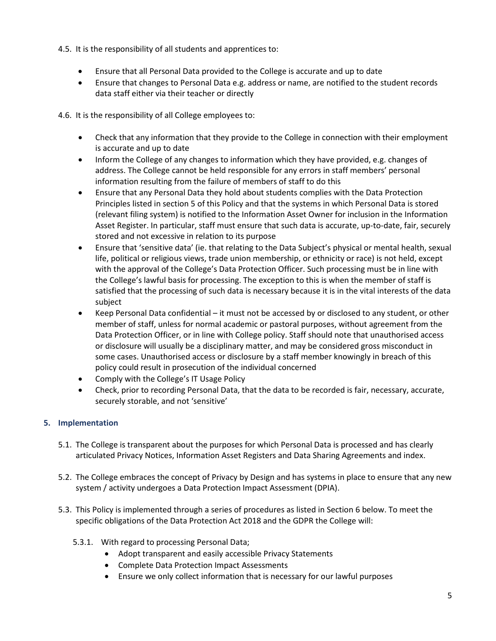- 4.5. It is the responsibility of all students and apprentices to:
	- Ensure that all Personal Data provided to the College is accurate and up to date
	- Ensure that changes to Personal Data e.g. address or name, are notified to the student records data staff either via their teacher or directly

4.6. It is the responsibility of all College employees to:

- Check that any information that they provide to the College in connection with their employment is accurate and up to date
- Inform the College of any changes to information which they have provided, e.g. changes of address. The College cannot be held responsible for any errors in staff members' personal information resulting from the failure of members of staff to do this
- Ensure that any Personal Data they hold about students complies with the Data Protection Principles listed in section 5 of this Policy and that the systems in which Personal Data is stored (relevant filing system) is notified to the Information Asset Owner for inclusion in the Information Asset Register. In particular, staff must ensure that such data is accurate, up-to-date, fair, securely stored and not excessive in relation to its purpose
- Ensure that 'sensitive data' (ie. that relating to the Data Subject's physical or mental health, sexual life, political or religious views, trade union membership, or ethnicity or race) is not held, except with the approval of the College's Data Protection Officer. Such processing must be in line with the College's lawful basis for processing. The exception to this is when the member of staff is satisfied that the processing of such data is necessary because it is in the vital interests of the data subject
- Keep Personal Data confidential it must not be accessed by or disclosed to any student, or other member of staff, unless for normal academic or pastoral purposes, without agreement from the Data Protection Officer, or in line with College policy. Staff should note that unauthorised access or disclosure will usually be a disciplinary matter, and may be considered gross misconduct in some cases. Unauthorised access or disclosure by a staff member knowingly in breach of this policy could result in prosecution of the individual concerned
- Comply with the College's IT Usage Policy
- Check, prior to recording Personal Data, that the data to be recorded is fair, necessary, accurate, securely storable, and not 'sensitive'

# **5. Implementation**

- 5.1. The College is transparent about the purposes for which Personal Data is processed and has clearly articulated Privacy Notices, Information Asset Registers and Data Sharing Agreements and index.
- 5.2. The College embraces the concept of Privacy by Design and has systems in place to ensure that any new system / activity undergoes a Data Protection Impact Assessment (DPIA).
- 5.3. This Policy is implemented through a series of procedures as listed in Section 6 below. To meet the specific obligations of the Data Protection Act 2018 and the GDPR the College will:
	- 5.3.1. With regard to processing Personal Data;
		- Adopt transparent and easily accessible Privacy Statements
		- Complete Data Protection Impact Assessments
		- Ensure we only collect information that is necessary for our lawful purposes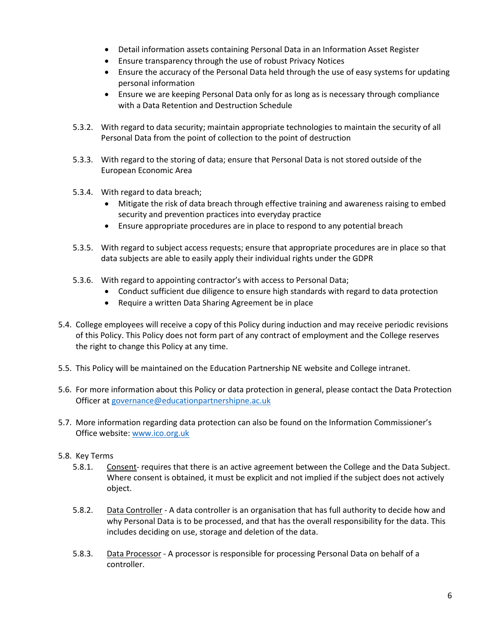- Detail information assets containing Personal Data in an Information Asset Register
- Ensure transparency through the use of robust Privacy Notices
- Ensure the accuracy of the Personal Data held through the use of easy systems for updating personal information
- Ensure we are keeping Personal Data only for as long as is necessary through compliance with a Data Retention and Destruction Schedule
- 5.3.2. With regard to data security; maintain appropriate technologies to maintain the security of all Personal Data from the point of collection to the point of destruction
- 5.3.3. With regard to the storing of data; ensure that Personal Data is not stored outside of the European Economic Area
- 5.3.4. With regard to data breach;
	- Mitigate the risk of data breach through effective training and awareness raising to embed security and prevention practices into everyday practice
	- Ensure appropriate procedures are in place to respond to any potential breach
- 5.3.5. With regard to subject access requests; ensure that appropriate procedures are in place so that data subjects are able to easily apply their individual rights under the GDPR
- 5.3.6. With regard to appointing contractor's with access to Personal Data;
	- Conduct sufficient due diligence to ensure high standards with regard to data protection
	- Require a written Data Sharing Agreement be in place
- 5.4. College employees will receive a copy of this Policy during induction and may receive periodic revisions of this Policy. This Policy does not form part of any contract of employment and the College reserves the right to change this Policy at any time.
- 5.5. This Policy will be maintained on the Education Partnership NE website and College intranet.
- 5.6. For more information about this Policy or data protection in general, please contact the Data Protection Officer at [governance@educationpartnershipne.ac.uk](mailto:governance@educationpartnershipne.ac.uk)
- 5.7. More information regarding data protection can also be found on the Information Commissioner's Office website: [www.ico.org.uk](http://www.ico.org.uk/)
- 5.8. Key Terms
	- 5.8.1. Consent- requires that there is an active agreement between the College and the Data Subject. Where consent is obtained, it must be explicit and not implied if the subject does not actively object.
	- 5.8.2. Data Controller A data controller is an organisation that has full authority to decide how and why Personal Data is to be processed, and that has the overall responsibility for the data. This includes deciding on use, storage and deletion of the data.
	- 5.8.3. Data Processor A processor is responsible for processing Personal Data on behalf of a controller.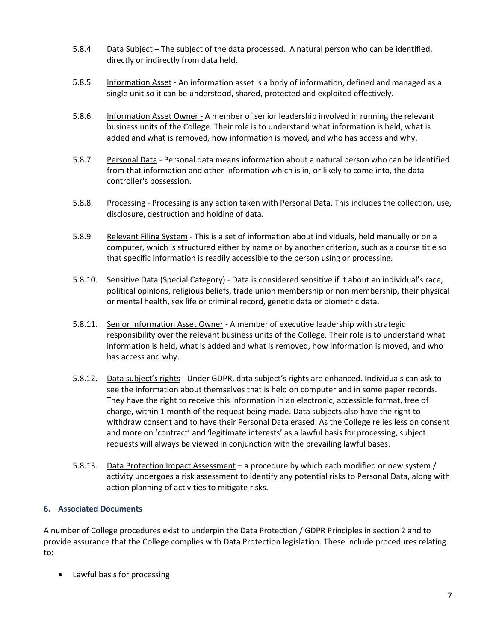- 5.8.4. Data Subject The subject of the data processed. A natural person who can be identified, directly or indirectly from data held.
- 5.8.5. Information Asset An information asset is a body of information, defined and managed as a single unit so it can be understood, shared, protected and exploited effectively.
- 5.8.6. Information Asset Owner A member of senior leadership involved in running the relevant business units of the College. Their role is to understand what information is held, what is added and what is removed, how information is moved, and who has access and why.
- 5.8.7. Personal Data Personal data means information about a natural person who can be identified from that information and other information which is in, or likely to come into, the data controller's possession.
- 5.8.8. Processing Processing is any action taken with Personal Data. This includes the collection, use, disclosure, destruction and holding of data.
- 5.8.9. Relevant Filing System This is a set of information about individuals, held manually or on a computer, which is structured either by name or by another criterion, such as a course title so that specific information is readily accessible to the person using or processing.
- 5.8.10. Sensitive Data (Special Category) Data is considered sensitive if it about an individual's race, political opinions, religious beliefs, trade union membership or non membership, their physical or mental health, sex life or criminal record, genetic data or biometric data.
- 5.8.11. Senior Information Asset Owner A member of executive leadership with strategic responsibility over the relevant business units of the College. Their role is to understand what information is held, what is added and what is removed, how information is moved, and who has access and why.
- 5.8.12. Data subject's rights Under GDPR, data subject's rights are enhanced. Individuals can ask to see the information about themselves that is held on computer and in some paper records. They have the right to receive this information in an electronic, accessible format, free of charge, within 1 month of the request being made. Data subjects also have the right to withdraw consent and to have their Personal Data erased. As the College relies less on consent and more on 'contract' and 'legitimate interests' as a lawful basis for processing, subject requests will always be viewed in conjunction with the prevailing lawful bases.
- 5.8.13. Data Protection Impact Assessment a procedure by which each modified or new system / activity undergoes a risk assessment to identify any potential risks to Personal Data, along with action planning of activities to mitigate risks.

## **6. Associated Documents**

A number of College procedures exist to underpin the Data Protection / GDPR Principles in section 2 and to provide assurance that the College complies with Data Protection legislation. These include procedures relating to:

• Lawful basis for processing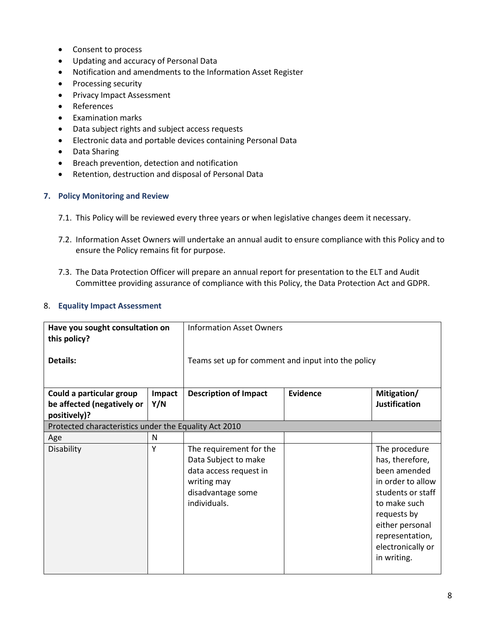- Consent to process
- Updating and accuracy of Personal Data
- Notification and amendments to the Information Asset Register
- Processing security
- Privacy Impact Assessment
- References
- Examination marks
- Data subject rights and subject access requests
- Electronic data and portable devices containing Personal Data
- Data Sharing
- Breach prevention, detection and notification
- Retention, destruction and disposal of Personal Data

#### **7. Policy Monitoring and Review**

- 7.1. This Policy will be reviewed every three years or when legislative changes deem it necessary.
- 7.2. Information Asset Owners will undertake an annual audit to ensure compliance with this Policy and to ensure the Policy remains fit for purpose.
- 7.3. The Data Protection Officer will prepare an annual report for presentation to the ELT and Audit Committee providing assurance of compliance with this Policy, the Data Protection Act and GDPR.

#### 8. **Equality Impact Assessment**

| Have you sought consultation on<br>this policy?<br>Details:            |               | <b>Information Asset Owners</b><br>Teams set up for comment and input into the policy                                         |                 |                                                                                                                                                                                                     |  |  |
|------------------------------------------------------------------------|---------------|-------------------------------------------------------------------------------------------------------------------------------|-----------------|-----------------------------------------------------------------------------------------------------------------------------------------------------------------------------------------------------|--|--|
|                                                                        |               |                                                                                                                               |                 |                                                                                                                                                                                                     |  |  |
| Could a particular group<br>be affected (negatively or<br>positively)? | Impact<br>Y/N | <b>Description of Impact</b>                                                                                                  | <b>Evidence</b> | Mitigation/<br><b>Justification</b>                                                                                                                                                                 |  |  |
| Protected characteristics under the Equality Act 2010                  |               |                                                                                                                               |                 |                                                                                                                                                                                                     |  |  |
| Age                                                                    | N             |                                                                                                                               |                 |                                                                                                                                                                                                     |  |  |
| Disability                                                             | Y             | The requirement for the<br>Data Subject to make<br>data access request in<br>writing may<br>disadvantage some<br>individuals. |                 | The procedure<br>has, therefore,<br>been amended<br>in order to allow<br>students or staff<br>to make such<br>requests by<br>either personal<br>representation,<br>electronically or<br>in writing. |  |  |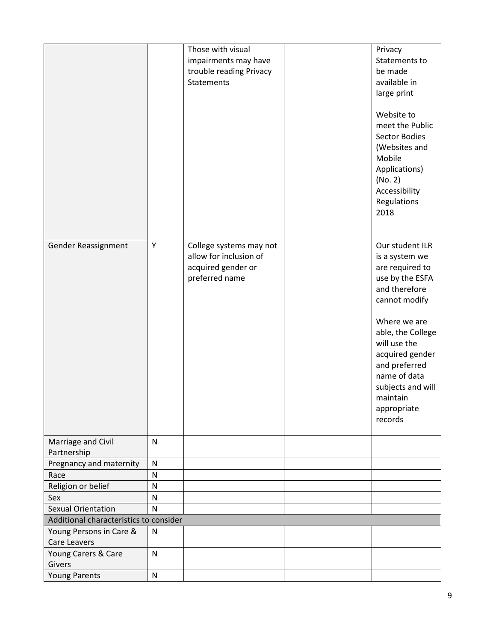|                                        |              | Those with visual       | Privacy                       |
|----------------------------------------|--------------|-------------------------|-------------------------------|
|                                        |              | impairments may have    | Statements to                 |
|                                        |              | trouble reading Privacy | be made                       |
|                                        |              | <b>Statements</b>       | available in                  |
|                                        |              |                         | large print                   |
|                                        |              |                         |                               |
|                                        |              |                         | Website to                    |
|                                        |              |                         | meet the Public               |
|                                        |              |                         | Sector Bodies                 |
|                                        |              |                         | (Websites and                 |
|                                        |              |                         | Mobile                        |
|                                        |              |                         | Applications)                 |
|                                        |              |                         | (No. 2)                       |
|                                        |              |                         | Accessibility                 |
|                                        |              |                         | Regulations                   |
|                                        |              |                         | 2018                          |
|                                        |              |                         |                               |
| Gender Reassignment                    | Υ            | College systems may not | Our student ILR               |
|                                        |              | allow for inclusion of  | is a system we                |
|                                        |              | acquired gender or      | are required to               |
|                                        |              | preferred name          | use by the ESFA               |
|                                        |              |                         | and therefore                 |
|                                        |              |                         | cannot modify                 |
|                                        |              |                         |                               |
|                                        |              |                         | Where we are                  |
|                                        |              |                         | able, the College             |
|                                        |              |                         | will use the                  |
|                                        |              |                         | acquired gender               |
|                                        |              |                         | and preferred                 |
|                                        |              |                         | name of data                  |
|                                        |              |                         | subjects and will<br>maintain |
|                                        |              |                         | appropriate                   |
|                                        |              |                         | records                       |
|                                        |              |                         |                               |
| Marriage and Civil                     | $\mathsf{N}$ |                         |                               |
| Partnership                            |              |                         |                               |
| Pregnancy and maternity                | $\mathsf{N}$ |                         |                               |
| Race                                   | N            |                         |                               |
| Religion or belief                     | N            |                         |                               |
| Sex                                    | $\mathsf{N}$ |                         |                               |
| <b>Sexual Orientation</b>              | $\mathsf{N}$ |                         |                               |
| Additional characteristics to consider |              |                         |                               |
| Young Persons in Care &                | $\mathsf{N}$ |                         |                               |
| <b>Care Leavers</b>                    |              |                         |                               |
| Young Carers & Care                    | ${\sf N}$    |                         |                               |
| Givers                                 |              |                         |                               |
| <b>Young Parents</b>                   | ${\sf N}$    |                         |                               |